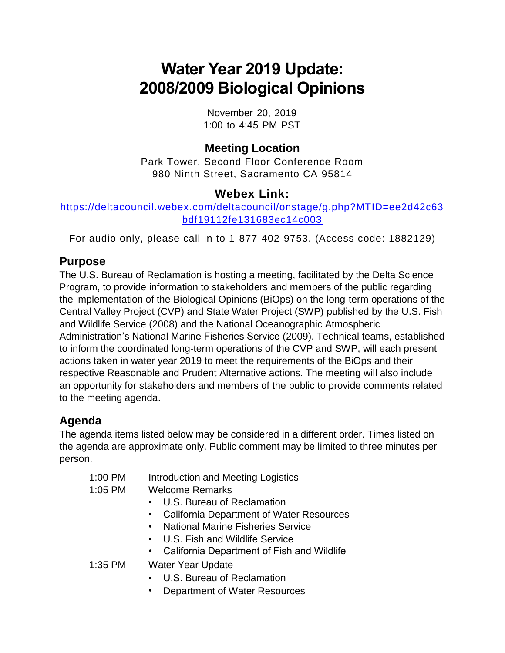# **Water Year 2019 Update: 2008/2009 Biological Opinions**

November 20, 2019 1:00 to 4:45 PM PST

### **Meeting Location**

 Park Tower, Second Floor Conference Room 980 Ninth Street, Sacramento CA 95814

#### **Webex Link:**

[https://deltacouncil.webex.com/deltacouncil/onstage/g.php?MTID=ee2d42c63](https://deltacouncil.webex.com/deltacouncil/onstage/g.php?MTID=ee2d42c63bdf19112fe131683ec14c003)  [bdf19112fe131683ec14c003](https://deltacouncil.webex.com/deltacouncil/onstage/g.php?MTID=ee2d42c63bdf19112fe131683ec14c003) 

For audio only, please call in to 1-877-402-9753. (Access code: 1882129)

#### **Purpose**

 the implementation of the Biological Opinions (BiOps) on the long-term operations of the and Wildlife Service (2008) and the National Oceanographic Atmospheric actions taken in water year 2019 to meet the requirements of the BiOps and their The U.S. Bureau of Reclamation is hosting a meeting, facilitated by the Delta Science Program, to provide information to stakeholders and members of the public regarding Central Valley Project (CVP) and State Water Project (SWP) published by the U.S. Fish Administration's National Marine Fisheries Service (2009). Technical teams, established to inform the coordinated long-term operations of the CVP and SWP, will each present respective Reasonable and Prudent Alternative actions. The meeting will also include an opportunity for stakeholders and members of the public to provide comments related to the meeting agenda.

## **Agenda**

 the agenda are approximate only. Public comment may be limited to three minutes per The agenda items listed below may be considered in a different order. Times listed on person.

| $1:00$ PM | Introduction and Meeting Logistics           |
|-----------|----------------------------------------------|
| 1:05 PM   | <b>Welcome Remarks</b>                       |
|           | • U.S. Bureau of Reclamation                 |
|           | • California Department of Water Resources   |
|           | • National Marine Fisheries Service          |
|           | • U.S. Fish and Wildlife Service             |
|           | • California Department of Fish and Wildlife |
| $1:35$ PM | <b>Water Year Update</b>                     |
|           | • U.S. Bureau of Reclamation                 |
|           |                                              |

• Department of Water Resources